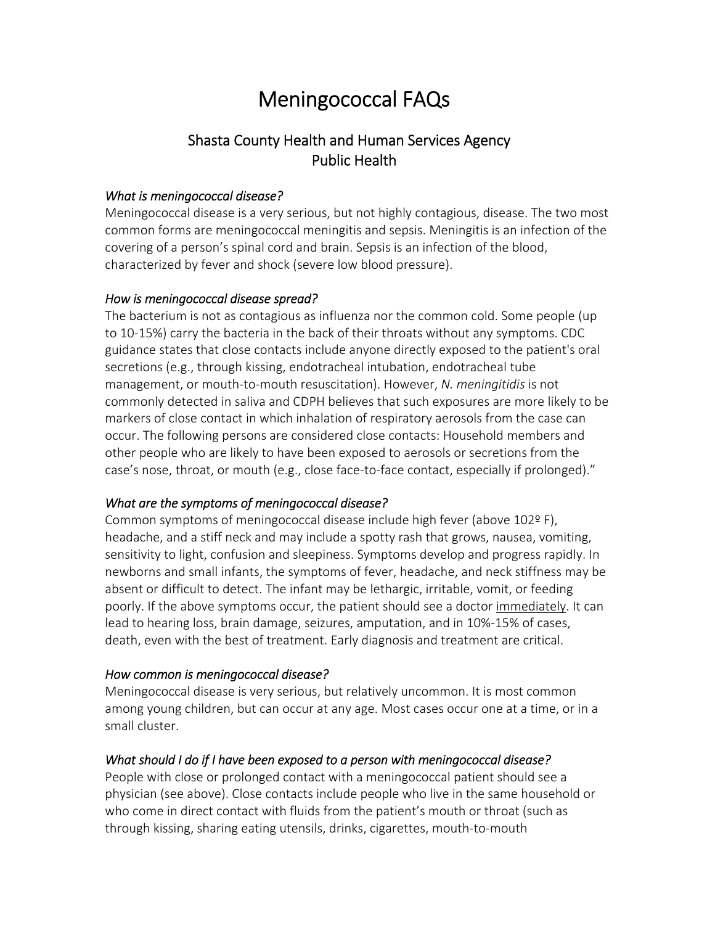# Meningococcal FAQs

# Shasta County Health and Human Services Agency Public Health

#### *What is meningococcal disease?*

Meningococcal disease is a very serious, but not highly contagious, disease. The two most common forms are meningococcal meningitis and sepsis. Meningitis is an infection of the covering of a person's spinal cord and brain. Sepsis is an infection of the blood, characterized by fever and shock (severe low blood pressure).

#### *How is meningococcal disease spread?*

The bacterium is not as contagious as influenza nor the common cold. Some people (up to 10‐15%) carry the bacteria in the back of their throats without any symptoms. CDC guidance states that close contacts include anyone directly exposed to the patient's oral secretions (e.g., through kissing, endotracheal intubation, endotracheal tube management, or mouth‐to‐mouth resuscitation). However, *N. meningitidis* is not commonly detected in saliva and CDPH believes that such exposures are more likely to be markers of close contact in which inhalation of respiratory aerosols from the case can occur. The following persons are considered close contacts: Household members and other people who are likely to have been exposed to aerosols or secretions from the case's nose, throat, or mouth (e.g., close face-to-face contact, especially if prolonged)."

# *What are the symptoms of meningococcal disease?*

Common symptoms of meningococcal disease include high fever (above 102º F), headache, and a stiff neck and may include a spotty rash that grows, nausea, vomiting, sensitivity to light, confusion and sleepiness. Symptoms develop and progress rapidly. In newborns and small infants, the symptoms of fever, headache, and neck stiffness may be absent or difficult to detect. The infant may be lethargic, irritable, vomit, or feeding poorly. If the above symptoms occur, the patient should see a doctor immediately. It can lead to hearing loss, brain damage, seizures, amputation, and in 10%‐15% of cases, death, even with the best of treatment. Early diagnosis and treatment are critical.

# *How common is meningococcal disease?*

Meningococcal disease is very serious, but relatively uncommon. It is most common among young children, but can occur at any age. Most cases occur one at a time, or in a small cluster.

# *What should I do if I have been exposed to a person with meningococcal disease?*

People with close or prolonged contact with a meningococcal patient should see a physician (see above). Close contacts include people who live in the same household or who come in direct contact with fluids from the patient's mouth or throat (such as through kissing, sharing eating utensils, drinks, cigarettes, mouth‐to‐mouth